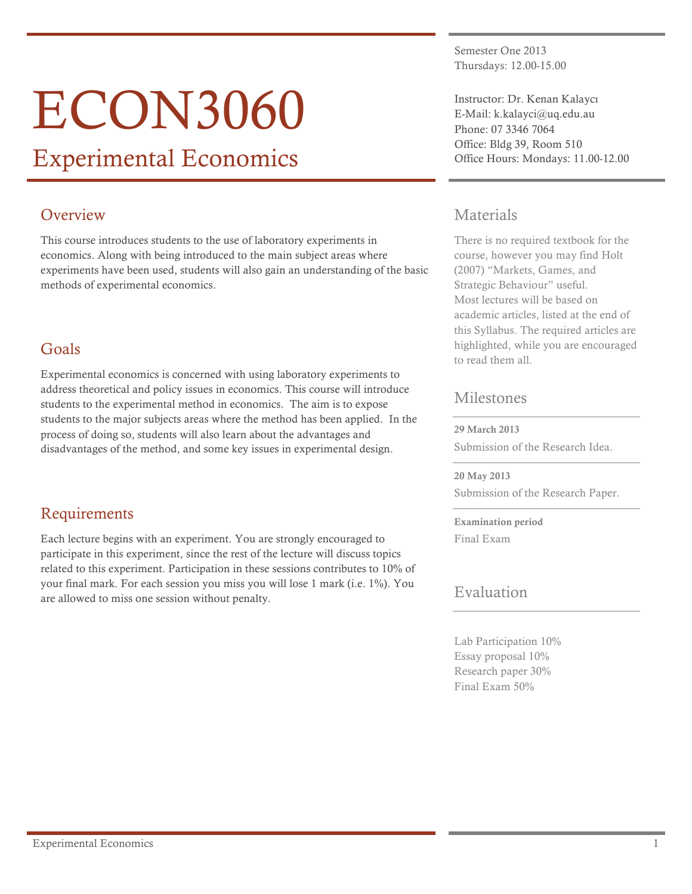# ECON3060

## Experimental Economics

## **Overview**

This course introduces students to the use of laboratory experiments in economics. Along with being introduced to the main subject areas where experiments have been used, students will also gain an understanding of the basic methods of experimental economics.

## Goals

Experimental economics is concerned with using laboratory experiments to address theoretical and policy issues in economics. This course will introduce students to the experimental method in economics. The aim is to expose students to the major subjects areas where the method has been applied. In the process of doing so, students will also learn about the advantages and disadvantages of the method, and some key issues in experimental design.

## Requirements

Each lecture begins with an experiment. You are strongly encouraged to participate in this experiment, since the rest of the lecture will discuss topics related to this experiment. Participation in these sessions contributes to 10% of your final mark. For each session you miss you will lose 1 mark (i.e. 1%). You are allowed to miss one session without penalty.

Semester One 2013 Thursdays: 12.00-15.00

Instructor: Dr. Kenan Kalaycı E-Mail: k.kalayci@uq.edu.au Phone: 07 3346 7064 Office: Bldg 39, Room 510 Office Hours: Mondays: 11.00-12.00

## Materials

There is no required textbook for the course, however you may find Holt (2007) "Markets, Games, and Strategic Behaviour" useful. Most lectures will be based on academic articles, listed at the end of this Syllabus. The required articles are highlighted, while you are encouraged to read them all.

## Milestones

29 March 2013

Submission of the Research Idea.

20 May 2013 Submission of the Research Paper.

Examination period Final Exam

## Evaluation

Lab Participation 10% Essay proposal 10% Research paper 30% Final Exam 50%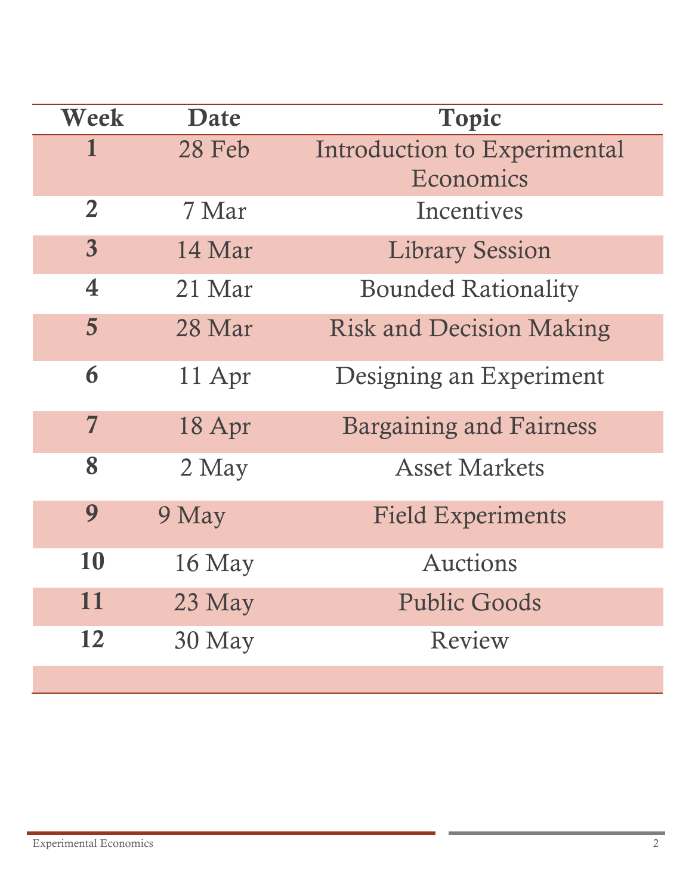| Week            | Date     | <b>Topic</b>                              |
|-----------------|----------|-------------------------------------------|
| 1               | 28 Feb   | Introduction to Experimental<br>Economics |
| $\overline{2}$  | 7 Mar    | Incentives                                |
| $\overline{3}$  | 14 Mar   | <b>Library Session</b>                    |
| 4               | 21 Mar   | <b>Bounded Rationality</b>                |
| $5\overline{)}$ | 28 Mar   | <b>Risk and Decision Making</b>           |
| 6               | 11 Apr   | Designing an Experiment                   |
| $\overline{7}$  | 18 Apr   | <b>Bargaining and Fairness</b>            |
| 8               | 2 May    | <b>Asset Markets</b>                      |
| 9               | 9 May    | <b>Field Experiments</b>                  |
| 10              | $16$ May | Auctions                                  |
| 11              | $23$ May | <b>Public Goods</b>                       |
| 12              | $30$ May | Review                                    |
|                 |          |                                           |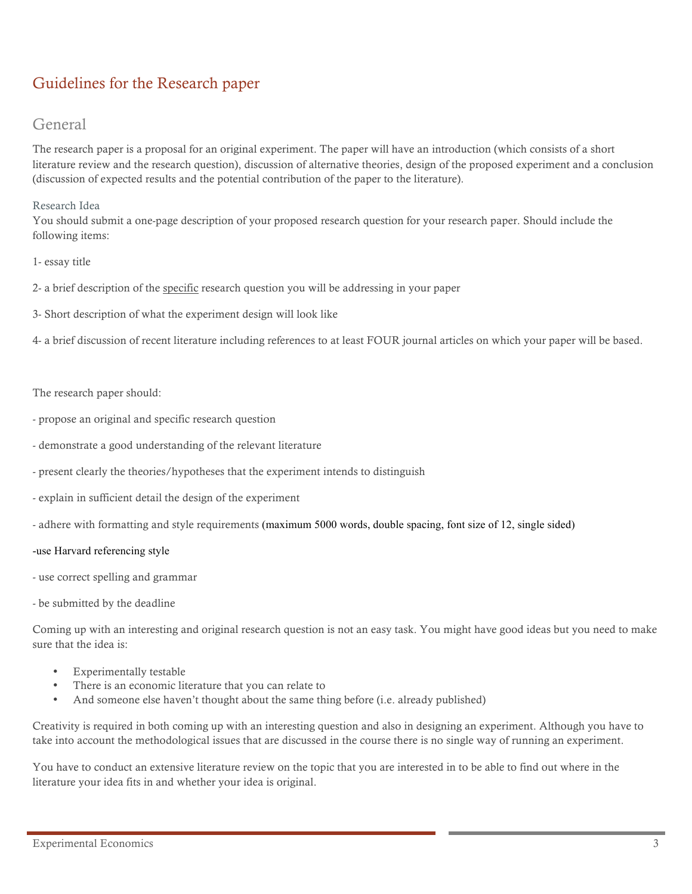## Guidelines for the Research paper

## General

The research paper is a proposal for an original experiment. The paper will have an introduction (which consists of a short literature review and the research question), discussion of alternative theories, design of the proposed experiment and a conclusion (discussion of expected results and the potential contribution of the paper to the literature).

#### Research Idea

You should submit a one-page description of your proposed research question for your research paper. Should include the following items:

#### 1- essay title

- 2- a brief description of the specific research question you will be addressing in your paper
- 3- Short description of what the experiment design will look like

4- a brief discussion of recent literature including references to at least FOUR journal articles on which your paper will be based.

#### The research paper should:

- propose an original and specific research question
- demonstrate a good understanding of the relevant literature
- present clearly the theories/hypotheses that the experiment intends to distinguish
- explain in sufficient detail the design of the experiment
- adhere with formatting and style requirements (maximum 5000 words, double spacing, font size of 12, single sided)

#### -use Harvard referencing style

- use correct spelling and grammar
- be submitted by the deadline

Coming up with an interesting and original research question is not an easy task. You might have good ideas but you need to make sure that the idea is:

- Experimentally testable
- There is an economic literature that you can relate to
- And someone else haven't thought about the same thing before (i.e. already published)

Creativity is required in both coming up with an interesting question and also in designing an experiment. Although you have to take into account the methodological issues that are discussed in the course there is no single way of running an experiment.

You have to conduct an extensive literature review on the topic that you are interested in to be able to find out where in the literature your idea fits in and whether your idea is original.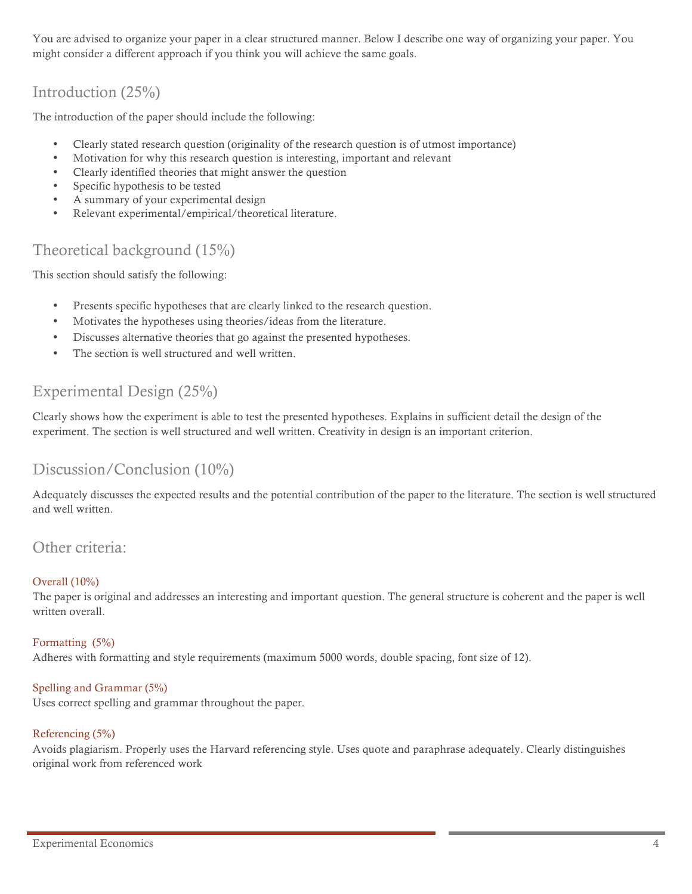You are advised to organize your paper in a clear structured manner. Below I describe one way of organizing your paper. You might consider a different approach if you think you will achieve the same goals.

## Introduction (25%)

The introduction of the paper should include the following:

- Clearly stated research question (originality of the research question is of utmost importance)
- Motivation for why this research question is interesting, important and relevant
- Clearly identified theories that might answer the question
- Specific hypothesis to be tested
- A summary of your experimental design
- Relevant experimental/empirical/theoretical literature.

## Theoretical background (15%)

This section should satisfy the following:

- Presents specific hypotheses that are clearly linked to the research question.
- Motivates the hypotheses using theories/ideas from the literature.
- Discusses alternative theories that go against the presented hypotheses.
- The section is well structured and well written.

## Experimental Design (25%)

Clearly shows how the experiment is able to test the presented hypotheses. Explains in sufficient detail the design of the experiment. The section is well structured and well written. Creativity in design is an important criterion.

## Discussion/Conclusion (10%)

Adequately discusses the expected results and the potential contribution of the paper to the literature. The section is well structured and well written.

### Other criteria:

#### Overall (10%)

The paper is original and addresses an interesting and important question. The general structure is coherent and the paper is well written overall.

## Formatting (5%)

Adheres with formatting and style requirements (maximum 5000 words, double spacing, font size of 12).

#### Spelling and Grammar (5%)

Uses correct spelling and grammar throughout the paper.

#### Referencing (5%)

Avoids plagiarism. Properly uses the Harvard referencing style. Uses quote and paraphrase adequately. Clearly distinguishes original work from referenced work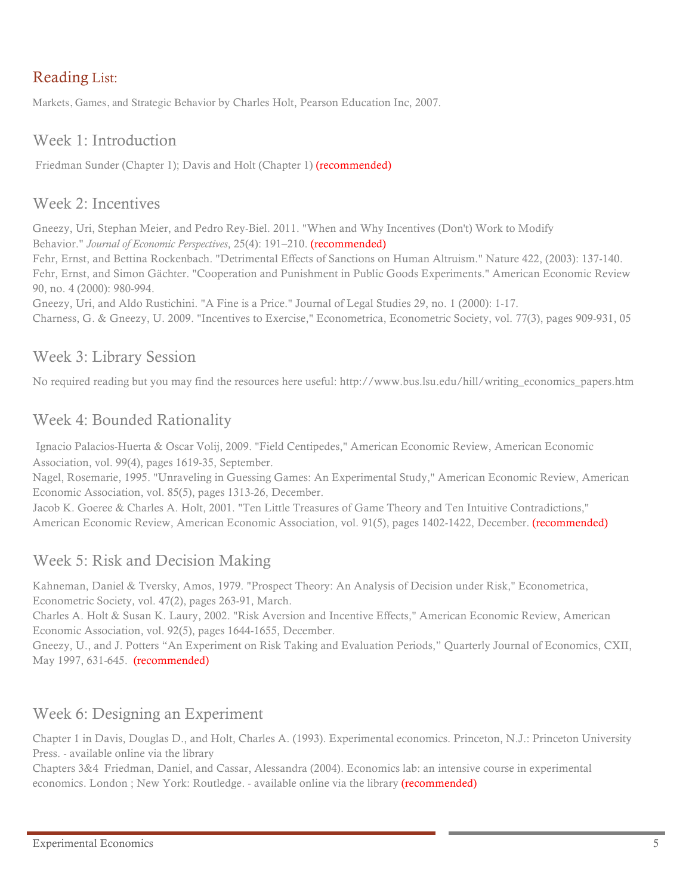## Reading List:

Markets, Games, and Strategic Behavior by Charles Holt, Pearson Education Inc, 2007.

## Week 1: Introduction

Friedman Sunder (Chapter 1); Davis and Holt (Chapter 1) (recommended)

## Week 2: Incentives

Gneezy, Uri, Stephan Meier, and Pedro Rey-Biel. 2011. "When and Why Incentives (Don't) Work to Modify Behavior." *Journal of Economic Perspectives*, 25(4): 191–210. (recommended)

Fehr, Ernst, and Bettina Rockenbach. "Detrimental Effects of Sanctions on Human Altruism." Nature 422, (2003): 137-140. Fehr, Ernst, and Simon Gächter. "Cooperation and Punishment in Public Goods Experiments." American Economic Review 90, no. 4 (2000): 980-994.

Gneezy, Uri, and Aldo Rustichini. "A Fine is a Price." Journal of Legal Studies 29, no. 1 (2000): 1-17.

Charness, G. & Gneezy, U. 2009. "Incentives to Exercise," Econometrica, Econometric Society, vol. 77(3), pages 909-931, 05

## Week 3: Library Session

No required reading but you may find the resources here useful: http://www.bus.lsu.edu/hill/writing\_economics\_papers.htm

## Week 4: Bounded Rationality

Ignacio Palacios-Huerta & Oscar Volij, 2009. "Field Centipedes," American Economic Review, American Economic Association, vol. 99(4), pages 1619-35, September.

Nagel, Rosemarie, 1995. "Unraveling in Guessing Games: An Experimental Study," American Economic Review, American Economic Association, vol. 85(5), pages 1313-26, December.

Jacob K. Goeree & Charles A. Holt, 2001. "Ten Little Treasures of Game Theory and Ten Intuitive Contradictions," American Economic Review, American Economic Association, vol. 91(5), pages 1402-1422, December. (recommended)

## Week 5: Risk and Decision Making

Kahneman, Daniel & Tversky, Amos, 1979. "Prospect Theory: An Analysis of Decision under Risk," Econometrica, Econometric Society, vol. 47(2), pages 263-91, March.

Charles A. Holt & Susan K. Laury, 2002. "Risk Aversion and Incentive Effects," American Economic Review, American Economic Association, vol. 92(5), pages 1644-1655, December.

Gneezy, U., and J. Potters "An Experiment on Risk Taking and Evaluation Periods," Quarterly Journal of Economics, CXII, May 1997, 631-645. (recommended)

## Week 6: Designing an Experiment

Chapter 1 in Davis, Douglas D., and Holt, Charles A. (1993). Experimental economics. Princeton, N.J.: Princeton University Press. - available online via the library

Chapters 3&4 Friedman, Daniel, and Cassar, Alessandra (2004). Economics lab: an intensive course in experimental economics. London ; New York: Routledge. - available online via the library (recommended)